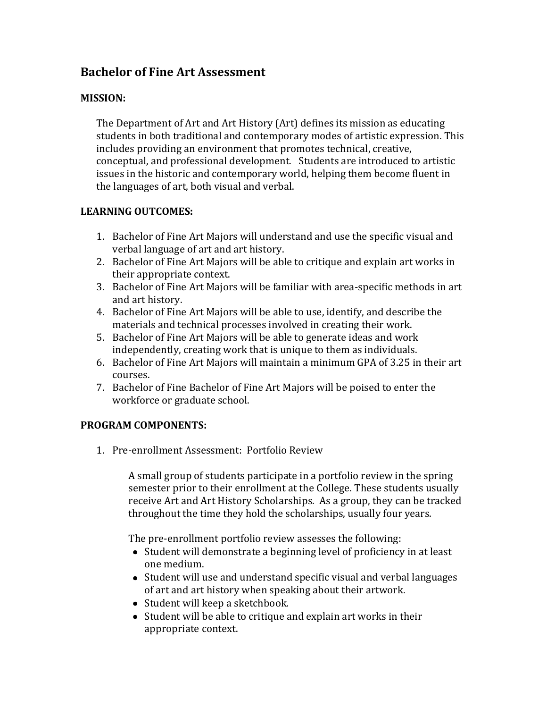# **Bachelor of Fine Art Assessment**

### **MISSION:**

The Department of Art and Art History (Art) defines its mission as educating students in both traditional and contemporary modes of artistic expression. This includes providing an environment that promotes technical, creative, conceptual, and professional development. Students are introduced to artistic issues in the historic and contemporary world, helping them become fluent in the languages of art, both visual and verbal.

### **LEARNING OUTCOMES:**

- 1. Bachelor of Fine Art Majors will understand and use the specific visual and verbal language of art and art history.
- 2. Bachelor of Fine Art Majors will be able to critique and explain art works in their appropriate context.
- 3. Bachelor of Fine Art Majors will be familiar with area-specific methods in art and art history.
- 4. Bachelor of Fine Art Majors will be able to use, identify, and describe the materials and technical processes involved in creating their work.
- 5. Bachelor of Fine Art Majors will be able to generate ideas and work independently, creating work that is unique to them as individuals.
- 6. Bachelor of Fine Art Majors will maintain a minimum GPA of 3.25 in their art courses.
- 7. Bachelor of Fine Bachelor of Fine Art Majors will be poised to enter the workforce or graduate school.

### **PROGRAM COMPONENTS:**

1. Pre-enrollment Assessment: Portfolio Review

A small group of students participate in a portfolio review in the spring semester prior to their enrollment at the College. These students usually receive Art and Art History Scholarships. As a group, they can be tracked throughout the time they hold the scholarships, usually four years.

The pre-enrollment portfolio review assesses the following:

- Student will demonstrate a beginning level of proficiency in at least one medium.
- Student will use and understand specific visual and verbal languages of art and art history when speaking about their artwork.
- Student will keep a sketchbook.
- Student will be able to critique and explain art works in their appropriate context.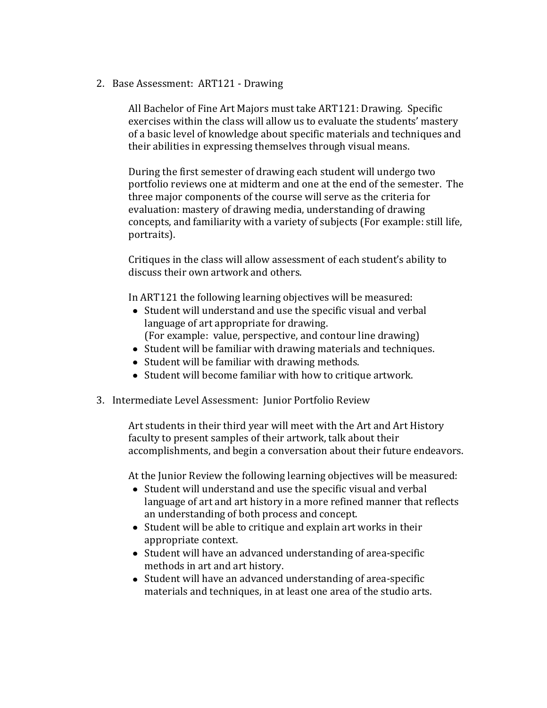2. Base Assessment: ART121 - Drawing

All Bachelor of Fine Art Majors must take ART121: Drawing. Specific exercises within the class will allow us to evaluate the students' mastery of a basic level of knowledge about specific materials and techniques and their abilities in expressing themselves through visual means.

During the first semester of drawing each student will undergo two portfolio reviews one at midterm and one at the end of the semester. The three major components of the course will serve as the criteria for evaluation: mastery of drawing media, understanding of drawing concepts, and familiarity with a variety of subjects (For example: still life, portraits).

Critiques in the class will allow assessment of each student's ability to discuss their own artwork and others.

In ART121 the following learning objectives will be measured:

- Student will understand and use the specific visual and verbal language of art appropriate for drawing.
- (For example: value, perspective, and contour line drawing)
- Student will be familiar with drawing materials and techniques.
- Student will be familiar with drawing methods.
- Student will become familiar with how to critique artwork.
- 3. Intermediate Level Assessment: Junior Portfolio Review

Art students in their third year will meet with the Art and Art History faculty to present samples of their artwork, talk about their accomplishments, and begin a conversation about their future endeavors.

At the Junior Review the following learning objectives will be measured:

- Student will understand and use the specific visual and verbal language of art and art history in a more refined manner that reflects an understanding of both process and concept.
- Student will be able to critique and explain art works in their appropriate context.
- Student will have an advanced understanding of area-specific methods in art and art history.
- Student will have an advanced understanding of area-specific materials and techniques, in at least one area of the studio arts.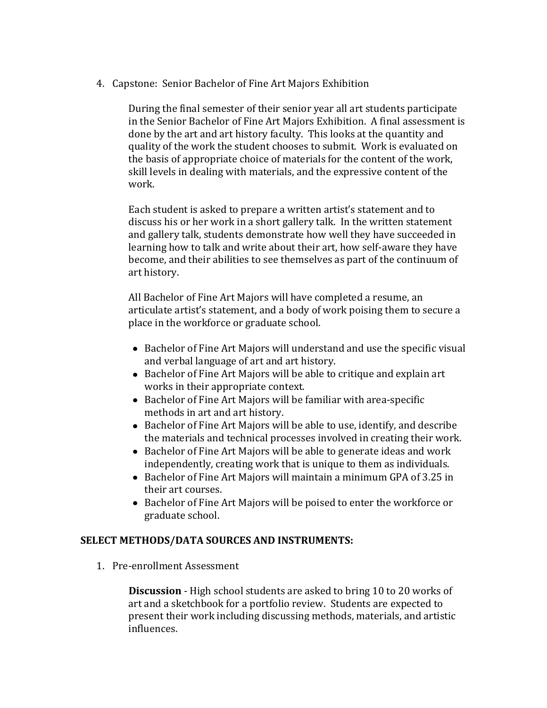4. Capstone: Senior Bachelor of Fine Art Majors Exhibition

During the final semester of their senior year all art students participate in the Senior Bachelor of Fine Art Majors Exhibition. A final assessment is done by the art and art history faculty. This looks at the quantity and quality of the work the student chooses to submit. Work is evaluated on the basis of appropriate choice of materials for the content of the work, skill levels in dealing with materials, and the expressive content of the work.

Each student is asked to prepare a written artist's statement and to discuss his or her work in a short gallery talk. In the written statement and gallery talk, students demonstrate how well they have succeeded in learning how to talk and write about their art, how self-aware they have become, and their abilities to see themselves as part of the continuum of art history.

All Bachelor of Fine Art Majors will have completed a resume, an articulate artist's statement, and a body of work poising them to secure a place in the workforce or graduate school.

- Bachelor of Fine Art Majors will understand and use the specific visual and verbal language of art and art history.
- Bachelor of Fine Art Majors will be able to critique and explain art works in their appropriate context.
- Bachelor of Fine Art Majors will be familiar with area-specific methods in art and art history.
- Bachelor of Fine Art Majors will be able to use, identify, and describe the materials and technical processes involved in creating their work.
- Bachelor of Fine Art Majors will be able to generate ideas and work independently, creating work that is unique to them as individuals.
- Bachelor of Fine Art Majors will maintain a minimum GPA of 3.25 in their art courses.
- Bachelor of Fine Art Majors will be poised to enter the workforce or graduate school.

### **SELECT METHODS/DATA SOURCES AND INSTRUMENTS:**

1. Pre-enrollment Assessment

**Discussion** - High school students are asked to bring 10 to 20 works of art and a sketchbook for a portfolio review. Students are expected to present their work including discussing methods, materials, and artistic influences.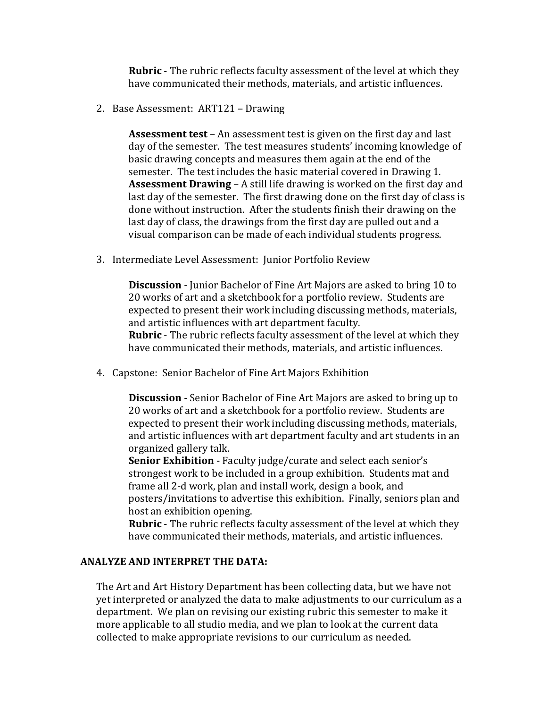**Rubric** - The rubric reflects faculty assessment of the level at which they have communicated their methods, materials, and artistic influences.

2. Base Assessment: ART121 – Drawing

**Assessment test** – An assessment test is given on the first day and last day of the semester. The test measures students' incoming knowledge of basic drawing concepts and measures them again at the end of the semester. The test includes the basic material covered in Drawing 1. **Assessment Drawing** – A still life drawing is worked on the first day and last day of the semester. The first drawing done on the first day of class is done without instruction. After the students finish their drawing on the last day of class, the drawings from the first day are pulled out and a visual comparison can be made of each individual students progress.

3. Intermediate Level Assessment: Junior Portfolio Review

**Discussion** - Junior Bachelor of Fine Art Majors are asked to bring 10 to 20 works of art and a sketchbook for a portfolio review. Students are expected to present their work including discussing methods, materials, and artistic influences with art department faculty. **Rubric** - The rubric reflects faculty assessment of the level at which they have communicated their methods, materials, and artistic influences.

4. Capstone: Senior Bachelor of Fine Art Majors Exhibition

**Discussion** - Senior Bachelor of Fine Art Majors are asked to bring up to 20 works of art and a sketchbook for a portfolio review. Students are expected to present their work including discussing methods, materials, and artistic influences with art department faculty and art students in an organized gallery talk.

**Senior Exhibition** - Faculty judge/curate and select each senior's strongest work to be included in a group exhibition. Students mat and frame all 2-d work, plan and install work, design a book, and posters/invitations to advertise this exhibition. Finally, seniors plan and host an exhibition opening.

**Rubric** - The rubric reflects faculty assessment of the level at which they have communicated their methods, materials, and artistic influences.

## **ANALYZE AND INTERPRET THE DATA:**

The Art and Art History Department has been collecting data, but we have not yet interpreted or analyzed the data to make adjustments to our curriculum as a department. We plan on revising our existing rubric this semester to make it more applicable to all studio media, and we plan to look at the current data collected to make appropriate revisions to our curriculum as needed.